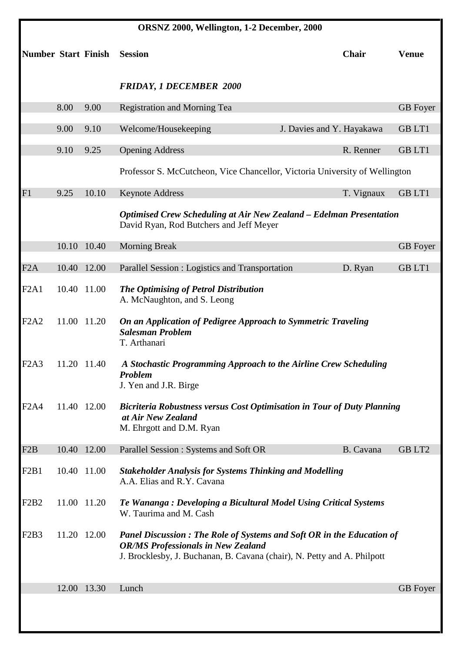| ORSNZ 2000, Wellington, 1-2 December, 2000 |       |             |                                                                                                                                                                                                      |                           |                    |  |  |
|--------------------------------------------|-------|-------------|------------------------------------------------------------------------------------------------------------------------------------------------------------------------------------------------------|---------------------------|--------------------|--|--|
| <b>Number Start Finish</b>                 |       |             | <b>Session</b>                                                                                                                                                                                       | Chair                     | <b>Venue</b>       |  |  |
|                                            |       |             | <b>FRIDAY, 1 DECEMBER 2000</b>                                                                                                                                                                       |                           |                    |  |  |
|                                            | 8.00  | 9.00        | <b>Registration and Morning Tea</b>                                                                                                                                                                  |                           | <b>GB</b> Foyer    |  |  |
|                                            | 9.00  | 9.10        | Welcome/Housekeeping                                                                                                                                                                                 | J. Davies and Y. Hayakawa | <b>GBLT1</b>       |  |  |
|                                            | 9.10  | 9.25        | <b>Opening Address</b>                                                                                                                                                                               | R. Renner                 | <b>GBLT1</b>       |  |  |
|                                            |       |             | Professor S. McCutcheon, Vice Chancellor, Victoria University of Wellington                                                                                                                          |                           |                    |  |  |
| F1                                         | 9.25  | 10.10       | <b>Keynote Address</b>                                                                                                                                                                               | T. Vignaux                | <b>GBLT1</b>       |  |  |
|                                            |       |             | <b>Optimised Crew Scheduling at Air New Zealand - Edelman Presentation</b><br>David Ryan, Rod Butchers and Jeff Meyer                                                                                |                           |                    |  |  |
|                                            | 10.10 | 10.40       | <b>Morning Break</b>                                                                                                                                                                                 |                           | <b>GB</b> Foyer    |  |  |
| F2A                                        |       | 10.40 12.00 | Parallel Session : Logistics and Transportation                                                                                                                                                      | D. Ryan                   | <b>GBLT1</b>       |  |  |
| F2A1                                       |       | 10.40 11.00 | The Optimising of Petrol Distribution<br>A. McNaughton, and S. Leong                                                                                                                                 |                           |                    |  |  |
| F <sub>2</sub> A <sub>2</sub>              |       | 11.00 11.20 | On an Application of Pedigree Approach to Symmetric Traveling<br><b>Salesman Problem</b><br>T. Arthanari                                                                                             |                           |                    |  |  |
| F2A3                                       |       | 11.20 11.40 | A Stochastic Programming Approach to the Airline Crew Scheduling<br><b>Problem</b><br>J. Yen and J.R. Birge                                                                                          |                           |                    |  |  |
| F <sub>2</sub> A <sub>4</sub>              |       | 11.40 12.00 | Bicriteria Robustness versus Cost Optimisation in Tour of Duty Planning<br>at Air New Zealand<br>M. Ehrgott and D.M. Ryan                                                                            |                           |                    |  |  |
| F <sub>2</sub> B                           |       | 10.40 12.00 | Parallel Session : Systems and Soft OR                                                                                                                                                               | B. Cavana                 | GB LT <sub>2</sub> |  |  |
| F <sub>2</sub> B <sub>1</sub>              |       | 10.40 11.00 | <b>Stakeholder Analysis for Systems Thinking and Modelling</b><br>A.A. Elias and R.Y. Cavana                                                                                                         |                           |                    |  |  |
| F <sub>2</sub> B <sub>2</sub>              |       | 11.00 11.20 | Te Wananga : Developing a Bicultural Model Using Critical Systems<br>W. Taurima and M. Cash                                                                                                          |                           |                    |  |  |
| F <sub>2</sub> B <sub>3</sub>              |       | 11.20 12.00 | <b>Panel Discussion: The Role of Systems and Soft OR in the Education of</b><br><b>OR/MS Professionals in New Zealand</b><br>J. Brocklesby, J. Buchanan, B. Cavana (chair), N. Petty and A. Philpott |                           |                    |  |  |
|                                            |       | 12.00 13.30 | Lunch                                                                                                                                                                                                |                           | <b>GB</b> Foyer    |  |  |
|                                            |       |             |                                                                                                                                                                                                      |                           |                    |  |  |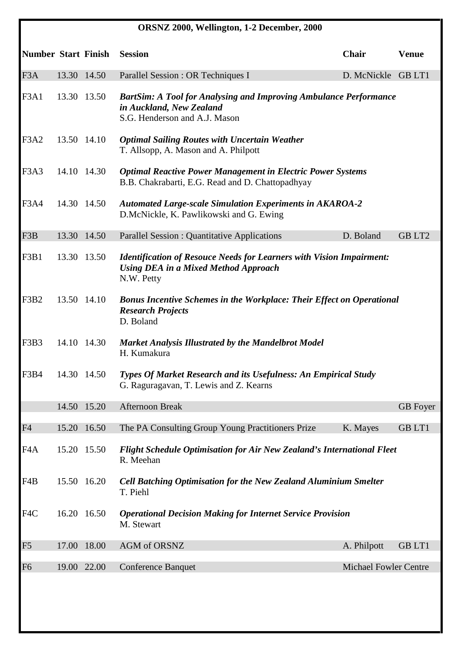| ORSNZ 2000, Wellington, 1-2 December, 2000 |             |             |                                                                                                                                          |                              |                 |  |  |
|--------------------------------------------|-------------|-------------|------------------------------------------------------------------------------------------------------------------------------------------|------------------------------|-----------------|--|--|
| <b>Number Start Finish</b>                 |             |             | <b>Session</b>                                                                                                                           | Chair                        | <b>Venue</b>    |  |  |
| F <sub>3</sub> A                           | 13.30 14.50 |             | Parallel Session : OR Techniques I                                                                                                       | D. McNickle GB LT1           |                 |  |  |
| F <sub>3</sub> A <sub>1</sub>              |             | 13.30 13.50 | <b>BartSim: A Tool for Analysing and Improving Ambulance Performance</b><br>in Auckland, New Zealand<br>S.G. Henderson and A.J. Mason    |                              |                 |  |  |
| F <sub>3</sub> A <sub>2</sub>              |             | 13.50 14.10 | <b>Optimal Sailing Routes with Uncertain Weather</b><br>T. Allsopp, A. Mason and A. Philpott                                             |                              |                 |  |  |
| F <sub>3</sub> A <sub>3</sub>              |             | 14.10 14.30 | <b>Optimal Reactive Power Management in Electric Power Systems</b><br>B.B. Chakrabarti, E.G. Read and D. Chattopadhyay                   |                              |                 |  |  |
| F <sub>3</sub> A <sub>4</sub>              |             | 14.30 14.50 | <b>Automated Large-scale Simulation Experiments in AKAROA-2</b><br>D.McNickle, K. Pawlikowski and G. Ewing                               |                              |                 |  |  |
| F3B                                        |             | 13.30 14.50 | <b>Parallel Session : Quantitative Applications</b>                                                                                      | D. Boland                    | <b>GBLT2</b>    |  |  |
| F3B1                                       |             | 13.30 13.50 | <b>Identification of Resouce Needs for Learners with Vision Impairment:</b><br><b>Using DEA in a Mixed Method Approach</b><br>N.W. Petty |                              |                 |  |  |
| F3B2                                       |             | 13.50 14.10 | <b>Bonus Incentive Schemes in the Workplace: Their Effect on Operational</b><br><b>Research Projects</b><br>D. Boland                    |                              |                 |  |  |
| F3B3                                       |             | 14.10 14.30 | <b>Market Analysis Illustrated by the Mandelbrot Model</b><br>H. Kumakura                                                                |                              |                 |  |  |
| F3B4                                       |             | 14.30 14.50 | <b>Types Of Market Research and its Usefulness: An Empirical Study</b><br>G. Raguragavan, T. Lewis and Z. Kearns                         |                              |                 |  |  |
|                                            |             | 14.50 15.20 | <b>Afternoon Break</b>                                                                                                                   |                              | <b>GB</b> Foyer |  |  |
| F <sub>4</sub>                             |             | 15.20 16.50 | The PA Consulting Group Young Practitioners Prize                                                                                        | K. Mayes                     | <b>GBLT1</b>    |  |  |
| F <sub>4</sub> A                           |             | 15.20 15.50 | <b>Flight Schedule Optimisation for Air New Zealand's International Fleet</b><br>R. Meehan                                               |                              |                 |  |  |
| F4B                                        |             | 15.50 16.20 | <b>Cell Batching Optimisation for the New Zealand Aluminium Smelter</b><br>T. Piehl                                                      |                              |                 |  |  |
| F4C                                        |             | 16.20 16.50 | <b>Operational Decision Making for Internet Service Provision</b><br>M. Stewart                                                          |                              |                 |  |  |
| F5                                         | 17.00       | 18.00       | AGM of ORSNZ                                                                                                                             | A. Philpott                  | <b>GBLT1</b>    |  |  |
| F <sub>6</sub>                             |             | 19.00 22.00 | <b>Conference Banquet</b>                                                                                                                | <b>Michael Fowler Centre</b> |                 |  |  |
|                                            |             |             |                                                                                                                                          |                              |                 |  |  |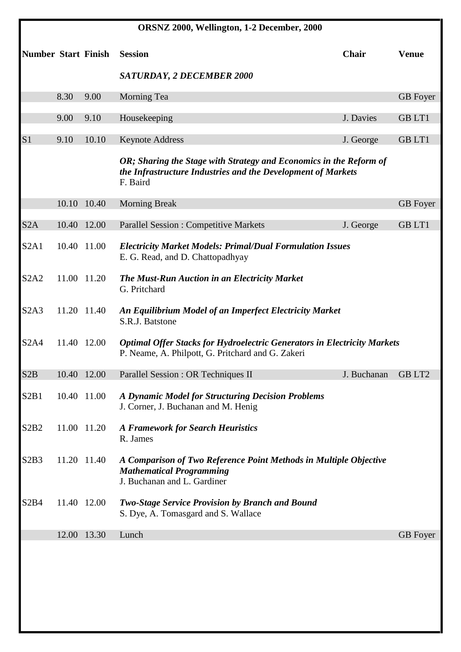| ORSNZ 2000, Wellington, 1-2 December, 2000 |       |                            |                                                                                                                                                |             |                 |  |  |
|--------------------------------------------|-------|----------------------------|------------------------------------------------------------------------------------------------------------------------------------------------|-------------|-----------------|--|--|
|                                            |       | <b>Number Start Finish</b> | <b>Session</b>                                                                                                                                 | Chair       | <b>Venue</b>    |  |  |
|                                            |       |                            | <b>SATURDAY, 2 DECEMBER 2000</b>                                                                                                               |             |                 |  |  |
|                                            | 8.30  | 9.00                       | Morning Tea                                                                                                                                    |             | <b>GB</b> Foyer |  |  |
|                                            | 9.00  | 9.10                       | Housekeeping                                                                                                                                   | J. Davies   | <b>GBLT1</b>    |  |  |
| S <sub>1</sub>                             | 9.10  | 10.10                      | <b>Keynote Address</b>                                                                                                                         | J. George   | <b>GBLT1</b>    |  |  |
|                                            |       |                            | OR; Sharing the Stage with Strategy and Economics in the Reform of<br>the Infrastructure Industries and the Development of Markets<br>F. Baird |             |                 |  |  |
|                                            |       | 10.10 10.40                | <b>Morning Break</b>                                                                                                                           |             | <b>GB</b> Foyer |  |  |
| S <sub>2</sub> A                           | 10.40 | 12.00                      | <b>Parallel Session : Competitive Markets</b>                                                                                                  | J. George   | <b>GBLT1</b>    |  |  |
| S2A1                                       |       | 10.40 11.00                | <b>Electricity Market Models: Primal/Dual Formulation Issues</b><br>E. G. Read, and D. Chattopadhyay                                           |             |                 |  |  |
| S <sub>2</sub> A <sub>2</sub>              |       | 11.00 11.20                | The Must-Run Auction in an Electricity Market<br>G. Pritchard                                                                                  |             |                 |  |  |
| S2A3                                       |       | 11.20 11.40                | An Equilibrium Model of an Imperfect Electricity Market<br>S.R.J. Batstone                                                                     |             |                 |  |  |
| <b>S2A4</b>                                |       | 11.40 12.00                | <b>Optimal Offer Stacks for Hydroelectric Generators in Electricity Markets</b><br>P. Neame, A. Philpott, G. Pritchard and G. Zakeri           |             |                 |  |  |
| S <sub>2</sub> B                           |       | 10.40 12.00                | Parallel Session : OR Techniques II                                                                                                            | J. Buchanan | <b>GBLT2</b>    |  |  |
| S2B1                                       |       | 10.40 11.00                | A Dynamic Model for Structuring Decision Problems<br>J. Corner, J. Buchanan and M. Henig                                                       |             |                 |  |  |
| S <sub>2</sub> B <sub>2</sub>              |       | 11.00 11.20                | <b>A Framework for Search Heuristics</b><br>R. James                                                                                           |             |                 |  |  |
| S2B3                                       |       | 11.20 11.40                | A Comparison of Two Reference Point Methods in Multiple Objective<br><b>Mathematical Programming</b><br>J. Buchanan and L. Gardiner            |             |                 |  |  |
| S <sub>2</sub> B <sub>4</sub>              |       | 11.40 12.00                | <b>Two-Stage Service Provision by Branch and Bound</b><br>S. Dye, A. Tomasgard and S. Wallace                                                  |             |                 |  |  |
|                                            |       | 12.00 13.30                | Lunch                                                                                                                                          |             | <b>GB</b> Foyer |  |  |
|                                            |       |                            |                                                                                                                                                |             |                 |  |  |